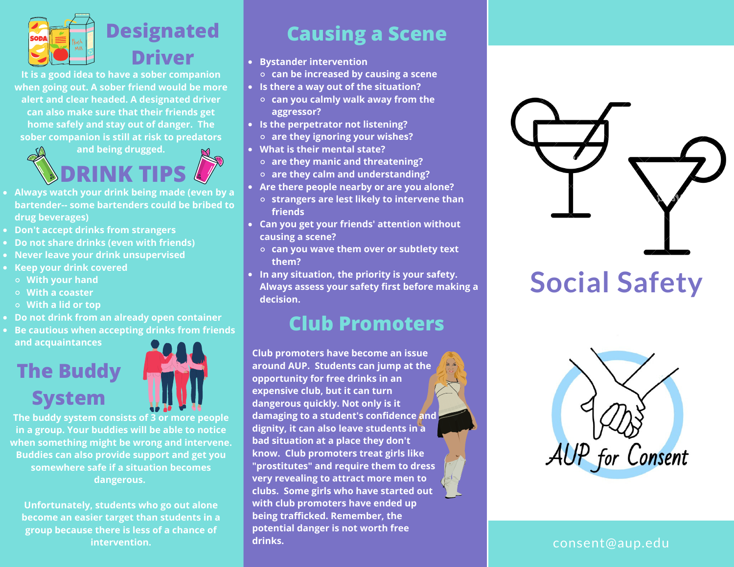

**It is a good idea to have a sober companion when going out. A sober friend would be more alert and clear headed. A designated driver can also make sure that their friends get home safely and stay out of danger. The sober companion is still at risk to predators**



- **Always watch your drink being made (even by a bartender-- some bartenders could be bribed to drug beverages)**
- **Don't accept drinks from strangers**
- **Do not share drinks (even with friends)**
- **Never leave your drink unsupervised**
- **Keep your drink covered**
- **With your hand**
- **With a coaster**
- **With a lid or top**
- **Do not drink from an already open container**
- **Be cautious when accepting drinks from friends and acquaintances**

# **The Buddy System**



**The buddy system consists of 3 or more people in a group. Your buddies will be able to notice when something might be wrong and intervene. Buddies can also provide support and get you somewhere safe if a situation becomes dangerous.**

**Unfortunately, students who go out alone become an easier target than students in a group because there is less of a chance of intervention.**

## **Causing a Scene**

- **Bystander intervention**
	- **can be increased by causing a scene**
- **Is there a way out of the situation?**
	- **can you calmly walk away from the aggressor?**
- **Is the perpetrator not listening? are they ignoring your wishes?**
- **What is their mental state?**
	- **are they manic and threatening?**
	- **are they calm and understanding?**
- **Are there people nearby or are you alone?**
	- **strangers are lest likely to intervene than friends**
- **Can you get your friends' attention without causing a scene?**
	- **can you wave them over or subtlety text them?**
- **In any situation, the priority is your safety. Always assess your safety first before making a decision.**

# **Club Promoters**

**Club promoters have become an issue around AUP. Students can jump at the opportunity for free drinks in an expensive club, but it can turn dangerous quickly. Not only is it damaging to a student's confidence and dignity, it can also leave students in a bad situation at a place they don't know. Club promoters treat girls like "prostitutes" and require them to dress very revealing to attract more men to clubs. Some girls who have started out with club promoters have ended up being trafficked. Remember, the potential danger is not worth free drinks.**





consent@aup.edu